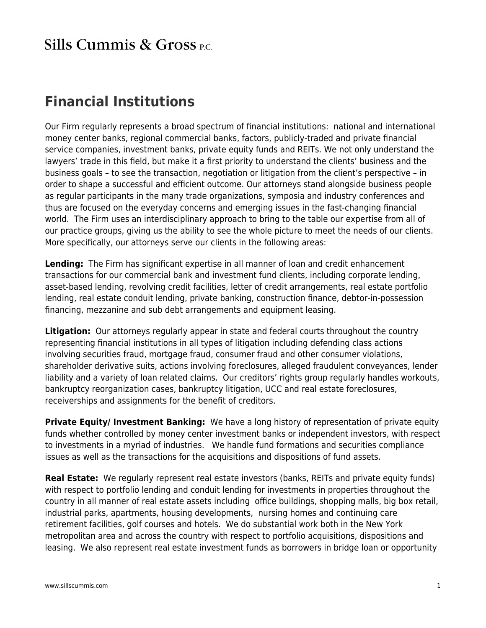## **Sills Cummis & Gross PC.**

## **Financial Institutions**

Our Firm regularly represents a broad spectrum of financial institutions: national and international money center banks, regional commercial banks, factors, publicly-traded and private financial service companies, investment banks, private equity funds and REITs. We not only understand the lawyers' trade in this field, but make it a first priority to understand the clients' business and the business goals – to see the transaction, negotiation or litigation from the client's perspective – in order to shape a successful and efficient outcome. Our attorneys stand alongside business people as regular participants in the many trade organizations, symposia and industry conferences and thus are focused on the everyday concerns and emerging issues in the fast-changing financial world. The Firm uses an interdisciplinary approach to bring to the table our expertise from all of our practice groups, giving us the ability to see the whole picture to meet the needs of our clients. More specifically, our attorneys serve our clients in the following areas:

**Lending:** The Firm has significant expertise in all manner of loan and credit enhancement transactions for our commercial bank and investment fund clients, including corporate lending, asset-based lending, revolving credit facilities, letter of credit arrangements, real estate portfolio lending, real estate conduit lending, private banking, construction finance, debtor-in-possession financing, mezzanine and sub debt arrangements and equipment leasing.

**Litigation:** Our attorneys regularly appear in state and federal courts throughout the country representing financial institutions in all types of litigation including defending class actions involving securities fraud, mortgage fraud, consumer fraud and other consumer violations, shareholder derivative suits, actions involving foreclosures, alleged fraudulent conveyances, lender liability and a variety of loan related claims. Our creditors' rights group regularly handles workouts, bankruptcy reorganization cases, bankruptcy litigation, UCC and real estate foreclosures, receiverships and assignments for the benefit of creditors.

**Private Equity/ Investment Banking:** We have a long history of representation of private equity funds whether controlled by money center investment banks or independent investors, with respect to investments in a myriad of industries. We handle fund formations and securities compliance issues as well as the transactions for the acquisitions and dispositions of fund assets.

**Real Estate:** We regularly represent real estate investors (banks, REITs and private equity funds) with respect to portfolio lending and conduit lending for investments in properties throughout the country in all manner of real estate assets including office buildings, shopping malls, big box retail, industrial parks, apartments, housing developments, nursing homes and continuing care retirement facilities, golf courses and hotels. We do substantial work both in the New York metropolitan area and across the country with respect to portfolio acquisitions, dispositions and leasing. We also represent real estate investment funds as borrowers in bridge loan or opportunity